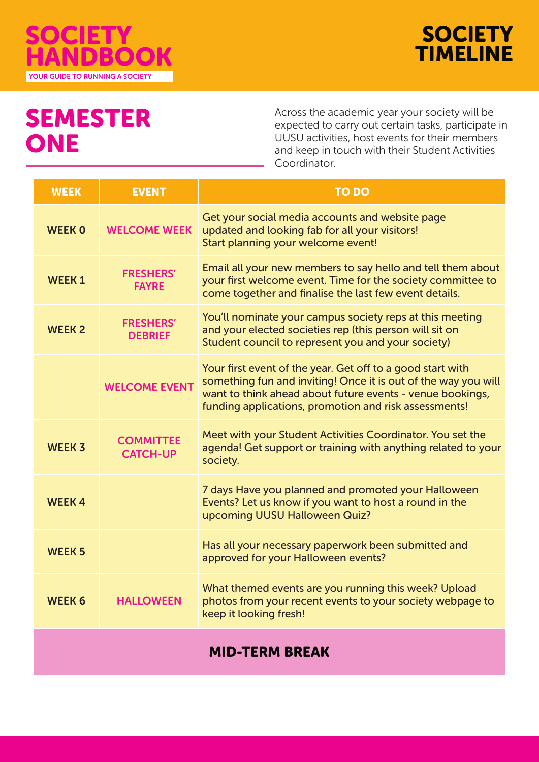



# SEMESTER ONE

Across the academic year your society will be expected to carry out certain tasks, participate in UUSU activities, host events for their members and keep in touch with their Student Activities Coordinator.

| <b>WEEK</b>   | <b>EVENT</b>                        | <b>TO DO</b>                                                                                                                                                                                                                                       |
|---------------|-------------------------------------|----------------------------------------------------------------------------------------------------------------------------------------------------------------------------------------------------------------------------------------------------|
| <b>WEEK 0</b> | <b>WELCOME WEEK</b>                 | Get your social media accounts and website page<br>updated and looking fab for all your visitors!<br>Start planning your welcome event!                                                                                                            |
| <b>WEEK1</b>  | <b>FRESHERS'</b><br><b>FAYRE</b>    | Email all your new members to say hello and tell them about<br>your first welcome event. Time for the society committee to<br>come together and finalise the last few event details.                                                               |
| <b>WEEK 2</b> | <b>FRESHERS'</b><br><b>DEBRIEF</b>  | You'll nominate your campus society reps at this meeting<br>and your elected societies rep (this person will sit on<br>Student council to represent you and your society)                                                                          |
|               | <b>WELCOME EVENT</b>                | Your first event of the year. Get off to a good start with<br>something fun and inviting! Once it is out of the way you will<br>want to think ahead about future events - venue bookings,<br>funding applications, promotion and risk assessments! |
| <b>WEEK 3</b> | <b>COMMITTEE</b><br><b>CATCH-UP</b> | Meet with your Student Activities Coordinator. You set the<br>agenda! Get support or training with anything related to your<br>society.                                                                                                            |
| <b>WEEK4</b>  |                                     | 7 days Have you planned and promoted your Halloween<br>Events? Let us know if you want to host a round in the<br>upcoming UUSU Halloween Quiz?                                                                                                     |
| <b>WEEK 5</b> |                                     | Has all your necessary paperwork been submitted and<br>approved for your Halloween events?                                                                                                                                                         |
| <b>WEEK 6</b> | <b>HALLOWEEN</b>                    | What themed events are you running this week? Upload<br>photos from your recent events to your society webpage to<br>keep it looking fresh!                                                                                                        |
|               |                                     |                                                                                                                                                                                                                                                    |

### MID-TERM BREAK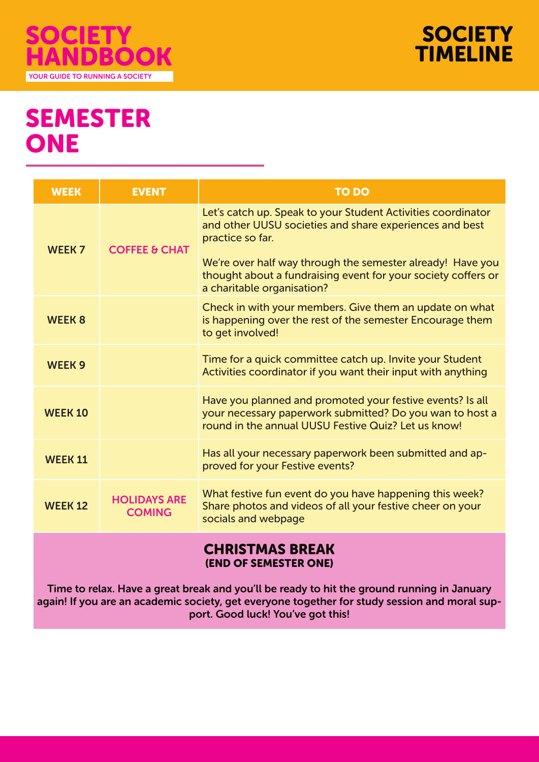



## SEMESTER ONE

| <b>WEEK</b>     | <b>EVENT</b>                         | <b>TO DO</b>                                                                                                                                                                                                                                                                                             |  |  |
|-----------------|--------------------------------------|----------------------------------------------------------------------------------------------------------------------------------------------------------------------------------------------------------------------------------------------------------------------------------------------------------|--|--|
| <b>WEEK 7</b>   | <b>COFFEE &amp; CHAT</b>             | Let's catch up. Speak to your Student Activities coordinator<br>and other UUSU societies and share experiences and best<br>practice so far.<br>We're over half way through the semester already! Have you<br>thought about a fundraising event for your society coffers or<br>a charitable organisation? |  |  |
| <b>WEEK 8</b>   |                                      | Check in with your members. Give them an update on what<br>is happening over the rest of the semester Encourage them<br>to get involved!                                                                                                                                                                 |  |  |
| <b>WEEK 9</b>   |                                      | Time for a quick committee catch up. Invite your Student<br>Activities coordinator if you want their input with anything                                                                                                                                                                                 |  |  |
| <b>WEEK 10</b>  |                                      | Have you planned and promoted your festive events? Is all<br>your necessary paperwork submitted? Do you wan to host a<br>round in the annual UUSU Festive Quiz? Let us know!                                                                                                                             |  |  |
| <b>WEEK 11</b>  |                                      | Has all your necessary paperwork been submitted and ap-<br>proved for your Festive events?                                                                                                                                                                                                               |  |  |
| <b>WEEK 12</b>  | <b>HOLIDAYS ARE</b><br><b>COMING</b> | What festive fun event do you have happening this week?<br>Share photos and videos of all your festive cheer on your<br>socials and webpage                                                                                                                                                              |  |  |
| CHDICTMAC RDFAK |                                      |                                                                                                                                                                                                                                                                                                          |  |  |

#### ITINDI IYA DIN (END OF SEMESTER ONE)

Time to relax. Have a great break and you'll be ready to hit the ground running in January again! If you are an academic society, get everyone together for study session and moral support. Good luck! You've got this!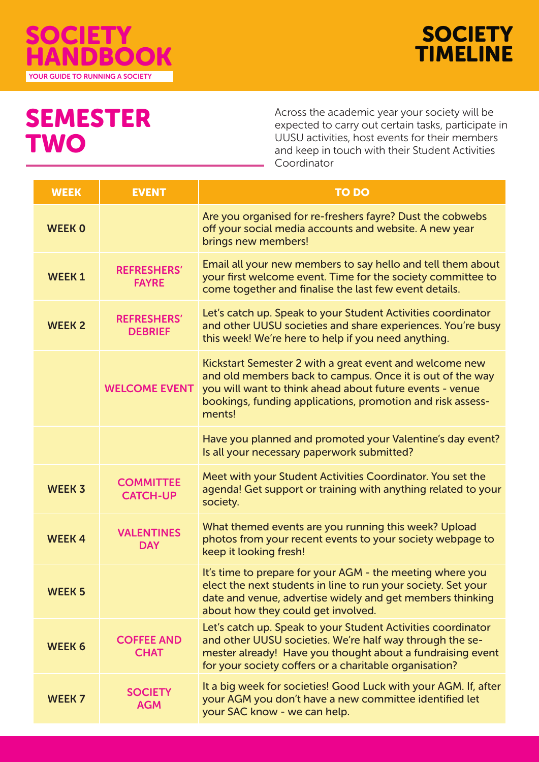



## SEMESTER **TWO**

Across the academic year your society will be expected to carry out certain tasks, participate in UUSU activities, host events for their members and keep in touch with their Student Activities Coordinator

| <b>WEEK</b>   | <b>EVENT</b>                         | <b>TO DO</b>                                                                                                                                                                                                                                             |
|---------------|--------------------------------------|----------------------------------------------------------------------------------------------------------------------------------------------------------------------------------------------------------------------------------------------------------|
| <b>WEEK 0</b> |                                      | Are you organised for re-freshers fayre? Dust the cobwebs<br>off your social media accounts and website. A new year<br>brings new members!                                                                                                               |
| <b>WEEK1</b>  | <b>REFRESHERS'</b><br><b>FAYRE</b>   | Email all your new members to say hello and tell them about<br>your first welcome event. Time for the society committee to<br>come together and finalise the last few event details.                                                                     |
| <b>WEEK 2</b> | <b>REFRESHERS'</b><br><b>DEBRIEF</b> | Let's catch up. Speak to your Student Activities coordinator<br>and other UUSU societies and share experiences. You're busy<br>this week! We're here to help if you need anything.                                                                       |
|               | <b>WELCOME EVENT</b>                 | Kickstart Semester 2 with a great event and welcome new<br>and old members back to campus. Once it is out of the way<br>you will want to think ahead about future events - venue<br>bookings, funding applications, promotion and risk assess-<br>ments! |
|               |                                      | Have you planned and promoted your Valentine's day event?<br>Is all your necessary paperwork submitted?                                                                                                                                                  |
| <b>WEEK 3</b> | <b>COMMITTEE</b><br><b>CATCH-UP</b>  | Meet with your Student Activities Coordinator. You set the<br>agenda! Get support or training with anything related to your<br>society.                                                                                                                  |
| <b>WEEK4</b>  | <b>VALENTINES</b><br><b>DAY</b>      | What themed events are you running this week? Upload<br>photos from your recent events to your society webpage to<br>keep it looking fresh!                                                                                                              |
| <b>WEEK 5</b> |                                      | It's time to prepare for your AGM - the meeting where you<br>elect the next students in line to run your society. Set your<br>date and venue, advertise widely and get members thinking<br>about how they could get involved.                            |
| <b>WEEK 6</b> | <b>COFFEE AND</b><br><b>CHAT</b>     | Let's catch up. Speak to your Student Activities coordinator<br>and other UUSU societies. We're half way through the se-<br>mester already! Have you thought about a fundraising event<br>for your society coffers or a charitable organisation?         |
| <b>WEEK7</b>  | <b>SOCIETY</b><br><b>AGM</b>         | It a big week for societies! Good Luck with your AGM. If, after<br>your AGM you don't have a new committee identified let<br>your SAC know - we can help.                                                                                                |